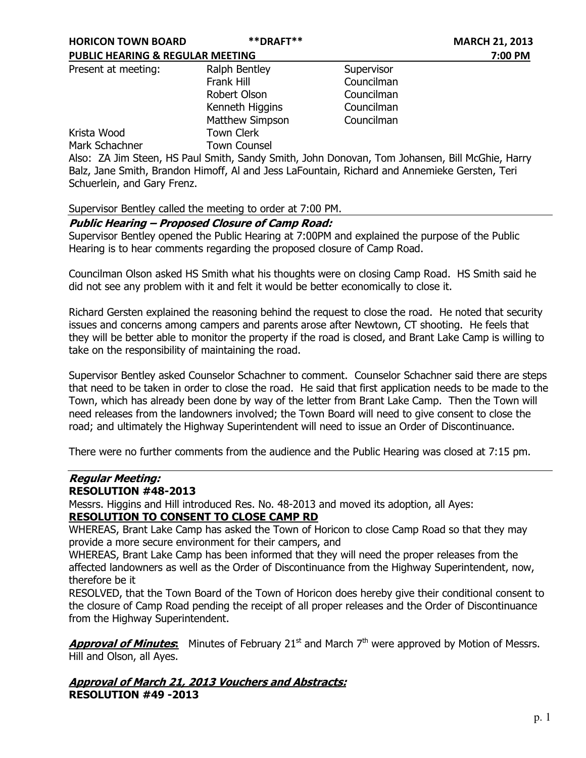| <b>PUBLIC HEARING &amp; REGULAR MEETING</b> |                     |            | 7:00 PM |
|---------------------------------------------|---------------------|------------|---------|
| Present at meeting:                         | Ralph Bentley       | Supervisor |         |
|                                             | Frank Hill          | Councilman |         |
|                                             | Robert Olson        | Councilman |         |
|                                             | Kenneth Higgins     | Councilman |         |
|                                             | Matthew Simpson     | Councilman |         |
| Krista Wood                                 | <b>Town Clerk</b>   |            |         |
| Mark Schachner                              | <b>Town Counsel</b> |            |         |
|                                             |                     |            |         |

Also: ZA Jim Steen, HS Paul Smith, Sandy Smith, John Donovan, Tom Johansen, Bill McGhie, Harry Balz, Jane Smith, Brandon Himoff, Al and Jess LaFountain, Richard and Annemieke Gersten, Teri Schuerlein, and Gary Frenz.

### Supervisor Bentley called the meeting to order at 7:00 PM.

# Public Hearing – Proposed Closure of Camp Road:

Supervisor Bentley opened the Public Hearing at 7:00PM and explained the purpose of the Public Hearing is to hear comments regarding the proposed closure of Camp Road.

Councilman Olson asked HS Smith what his thoughts were on closing Camp Road. HS Smith said he did not see any problem with it and felt it would be better economically to close it.

Richard Gersten explained the reasoning behind the request to close the road. He noted that security issues and concerns among campers and parents arose after Newtown, CT shooting. He feels that they will be better able to monitor the property if the road is closed, and Brant Lake Camp is willing to take on the responsibility of maintaining the road.

Supervisor Bentley asked Counselor Schachner to comment. Counselor Schachner said there are steps that need to be taken in order to close the road. He said that first application needs to be made to the Town, which has already been done by way of the letter from Brant Lake Camp. Then the Town will need releases from the landowners involved; the Town Board will need to give consent to close the road; and ultimately the Highway Superintendent will need to issue an Order of Discontinuance.

There were no further comments from the audience and the Public Hearing was closed at 7:15 pm.

# Regular Meeting:

# RESOLUTION #48-2013

Messrs. Higgins and Hill introduced Res. No. 48-2013 and moved its adoption, all Ayes: RESOLUTION TO CONSENT TO CLOSE CAMP RD

WHEREAS, Brant Lake Camp has asked the Town of Horicon to close Camp Road so that they may provide a more secure environment for their campers, and

WHEREAS, Brant Lake Camp has been informed that they will need the proper releases from the affected landowners as well as the Order of Discontinuance from the Highway Superintendent, now, therefore be it

RESOLVED, that the Town Board of the Town of Horicon does hereby give their conditional consent to the closure of Camp Road pending the receipt of all proper releases and the Order of Discontinuance from the Highway Superintendent.

**Approval of Minutes:** Minutes of February 21<sup>st</sup> and March  $7<sup>th</sup>$  were approved by Motion of Messrs. Hill and Olson, all Ayes.

# Approval of March 21, 2013 Vouchers and Abstracts: RESOLUTION #49 -2013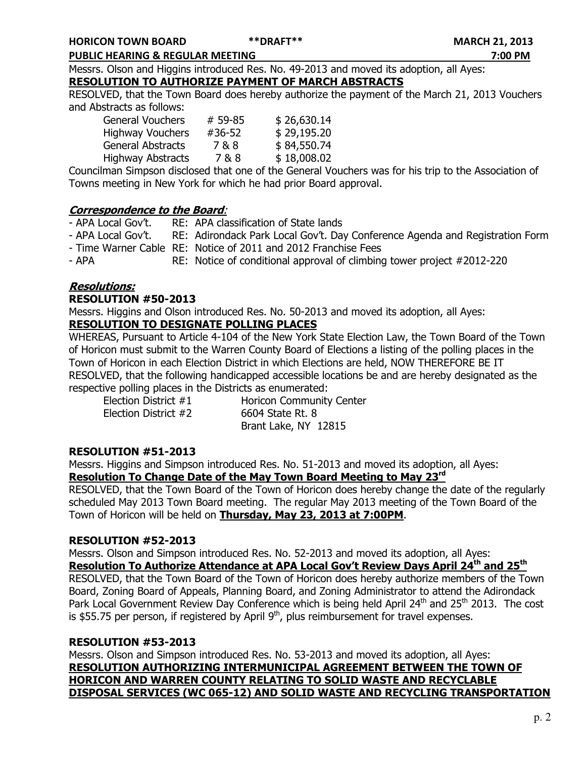PUBLIC HEARING & REGULAR MEETING 7:00 PM

Messrs. Olson and Higgins introduced Res. No. 49-2013 and moved its adoption, all Ayes: RESOLUTION TO AUTHORIZE PAYMENT OF MARCH ABSTRACTS

RESOLVED, that the Town Board does hereby authorize the payment of the March 21, 2013 Vouchers and Abstracts as follows:

| <b>General Vouchers</b>  | # 59-85 | \$26,630.14 |
|--------------------------|---------|-------------|
| <b>Highway Vouchers</b>  | #36-52  | \$29,195.20 |
| <b>General Abstracts</b> | 7&8     | \$84,550.74 |
| <b>Highway Abstracts</b> | 7&8     | \$18,008.02 |
|                          |         |             |

Councilman Simpson disclosed that one of the General Vouchers was for his trip to the Association of Towns meeting in New York for which he had prior Board approval.

# Correspondence to the Board:

- APA Local Gov't. RE: APA classification of State lands
- APA Local Gov't. RE: Adirondack Park Local Gov't. Day Conference Agenda and Registration Form
- Time Warner Cable RE: Notice of 2011 and 2012 Franchise Fees
- APA RE: Notice of conditional approval of climbing tower project #2012-220

# Resolutions:

### RESOLUTION #50-2013

Messrs. Higgins and Olson introduced Res. No. 50-2013 and moved its adoption, all Ayes: RESOLUTION TO DESIGNATE POLLING PLACES

WHEREAS, Pursuant to Article 4-104 of the New York State Election Law, the Town Board of the Town of Horicon must submit to the Warren County Board of Elections a listing of the polling places in the Town of Horicon in each Election District in which Elections are held, NOW THEREFORE BE IT RESOLVED, that the following handicapped accessible locations be and are hereby designated as the respective polling places in the Districts as enumerated:

Election District #2 6604 State Rt. 8

Election District #1 Horicon Community Center Brant Lake, NY 12815

# RESOLUTION #51-2013

Messrs. Higgins and Simpson introduced Res. No. 51-2013 and moved its adoption, all Ayes: Resolution To Change Date of the May Town Board Meeting to May 23<sup>rd</sup>

RESOLVED, that the Town Board of the Town of Horicon does hereby change the date of the regularly scheduled May 2013 Town Board meeting. The regular May 2013 meeting of the Town Board of the Town of Horicon will be held on Thursday, May 23, 2013 at 7:00PM.

# RESOLUTION #52-2013

Messrs. Olson and Simpson introduced Res. No. 52-2013 and moved its adoption, all Ayes: Resolution To Authorize Attendance at APA Local Gov't Review Days April 24<sup>th</sup> and 25<sup>th</sup> RESOLVED, that the Town Board of the Town of Horicon does hereby authorize members of the Town Board, Zoning Board of Appeals, Planning Board, and Zoning Administrator to attend the Adirondack Park Local Government Review Day Conference which is being held April 24<sup>th</sup> and 25<sup>th</sup> 2013. The cost is \$55.75 per person, if registered by April  $9<sup>th</sup>$ , plus reimbursement for travel expenses.

# RESOLUTION #53-2013

Messrs. Olson and Simpson introduced Res. No. 53-2013 and moved its adoption, all Ayes: RESOLUTION AUTHORIZING INTERMUNICIPAL AGREEMENT BETWEEN THE TOWN OF HORICON AND WARREN COUNTY RELATING TO SOLID WASTE AND RECYCLABLE DISPOSAL SERVICES (WC 065-12) AND SOLID WASTE AND RECYCLING TRANSPORTATION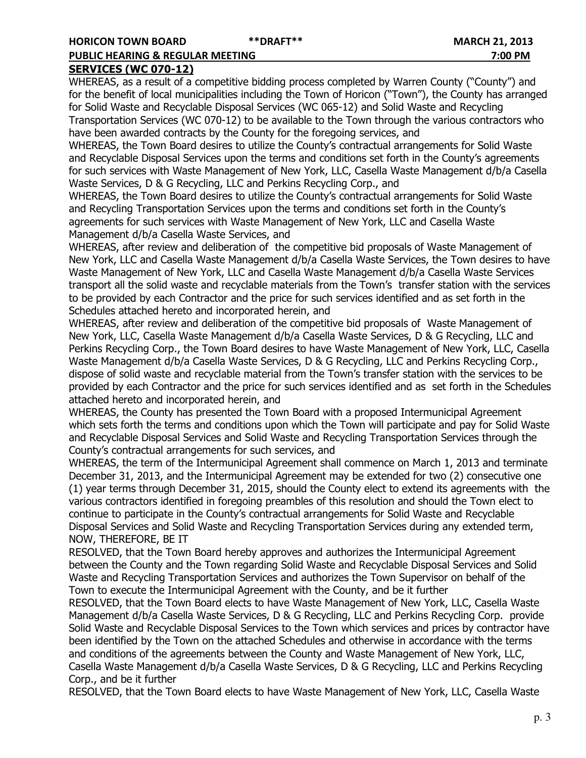# SERVICES (WC 070-12)

WHEREAS, as a result of a competitive bidding process completed by Warren County ("County") and for the benefit of local municipalities including the Town of Horicon ("Town"), the County has arranged for Solid Waste and Recyclable Disposal Services (WC 065-12) and Solid Waste and Recycling Transportation Services (WC 070-12) to be available to the Town through the various contractors who have been awarded contracts by the County for the foregoing services, and

WHEREAS, the Town Board desires to utilize the County's contractual arrangements for Solid Waste and Recyclable Disposal Services upon the terms and conditions set forth in the County's agreements for such services with Waste Management of New York, LLC, Casella Waste Management d/b/a Casella Waste Services, D & G Recycling, LLC and Perkins Recycling Corp., and

WHEREAS, the Town Board desires to utilize the County's contractual arrangements for Solid Waste and Recycling Transportation Services upon the terms and conditions set forth in the County's agreements for such services with Waste Management of New York, LLC and Casella Waste Management d/b/a Casella Waste Services, and

WHEREAS, after review and deliberation of the competitive bid proposals of Waste Management of New York, LLC and Casella Waste Management d/b/a Casella Waste Services, the Town desires to have Waste Management of New York, LLC and Casella Waste Management d/b/a Casella Waste Services transport all the solid waste and recyclable materials from the Town's transfer station with the services to be provided by each Contractor and the price for such services identified and as set forth in the Schedules attached hereto and incorporated herein, and

WHEREAS, after review and deliberation of the competitive bid proposals of Waste Management of New York, LLC, Casella Waste Management d/b/a Casella Waste Services, D & G Recycling, LLC and Perkins Recycling Corp., the Town Board desires to have Waste Management of New York, LLC, Casella Waste Management d/b/a Casella Waste Services, D & G Recycling, LLC and Perkins Recycling Corp., dispose of solid waste and recyclable material from the Town's transfer station with the services to be provided by each Contractor and the price for such services identified and as set forth in the Schedules attached hereto and incorporated herein, and

WHEREAS, the County has presented the Town Board with a proposed Intermunicipal Agreement which sets forth the terms and conditions upon which the Town will participate and pay for Solid Waste and Recyclable Disposal Services and Solid Waste and Recycling Transportation Services through the County's contractual arrangements for such services, and

WHEREAS, the term of the Intermunicipal Agreement shall commence on March 1, 2013 and terminate December 31, 2013, and the Intermunicipal Agreement may be extended for two (2) consecutive one (1) year terms through December 31, 2015, should the County elect to extend its agreements with the various contractors identified in foregoing preambles of this resolution and should the Town elect to continue to participate in the County's contractual arrangements for Solid Waste and Recyclable Disposal Services and Solid Waste and Recycling Transportation Services during any extended term, NOW, THEREFORE, BE IT

RESOLVED, that the Town Board hereby approves and authorizes the Intermunicipal Agreement between the County and the Town regarding Solid Waste and Recyclable Disposal Services and Solid Waste and Recycling Transportation Services and authorizes the Town Supervisor on behalf of the Town to execute the Intermunicipal Agreement with the County, and be it further

RESOLVED, that the Town Board elects to have Waste Management of New York, LLC, Casella Waste Management d/b/a Casella Waste Services, D & G Recycling, LLC and Perkins Recycling Corp. provide Solid Waste and Recyclable Disposal Services to the Town which services and prices by contractor have been identified by the Town on the attached Schedules and otherwise in accordance with the terms and conditions of the agreements between the County and Waste Management of New York, LLC, Casella Waste Management d/b/a Casella Waste Services, D & G Recycling, LLC and Perkins Recycling Corp., and be it further

RESOLVED, that the Town Board elects to have Waste Management of New York, LLC, Casella Waste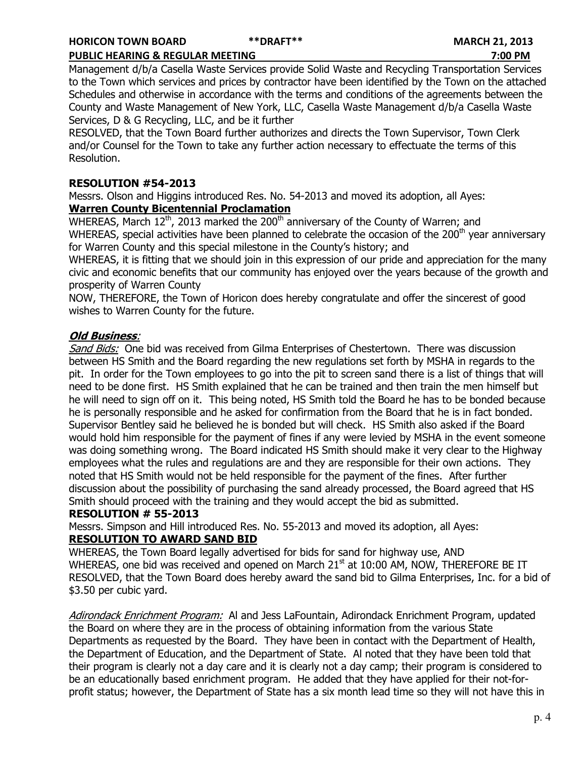Management d/b/a Casella Waste Services provide Solid Waste and Recycling Transportation Services to the Town which services and prices by contractor have been identified by the Town on the attached Schedules and otherwise in accordance with the terms and conditions of the agreements between the County and Waste Management of New York, LLC, Casella Waste Management d/b/a Casella Waste Services, D & G Recycling, LLC, and be it further

RESOLVED, that the Town Board further authorizes and directs the Town Supervisor, Town Clerk and/or Counsel for the Town to take any further action necessary to effectuate the terms of this Resolution.

# RESOLUTION #54-2013

Messrs. Olson and Higgins introduced Res. No. 54-2013 and moved its adoption, all Ayes: Warren County Bicentennial Proclamation

WHEREAS, March  $12<sup>th</sup>$ , 2013 marked the 200<sup>th</sup> anniversary of the County of Warren; and WHEREAS, special activities have been planned to celebrate the occasion of the 200<sup>th</sup> year anniversary for Warren County and this special milestone in the County's history; and

WHEREAS, it is fitting that we should join in this expression of our pride and appreciation for the many civic and economic benefits that our community has enjoyed over the years because of the growth and prosperity of Warren County

NOW, THEREFORE, the Town of Horicon does hereby congratulate and offer the sincerest of good wishes to Warren County for the future.

# Old Business:

Sand Bids: One bid was received from Gilma Enterprises of Chestertown. There was discussion between HS Smith and the Board regarding the new regulations set forth by MSHA in regards to the pit. In order for the Town employees to go into the pit to screen sand there is a list of things that will need to be done first. HS Smith explained that he can be trained and then train the men himself but he will need to sign off on it. This being noted, HS Smith told the Board he has to be bonded because he is personally responsible and he asked for confirmation from the Board that he is in fact bonded. Supervisor Bentley said he believed he is bonded but will check. HS Smith also asked if the Board would hold him responsible for the payment of fines if any were levied by MSHA in the event someone was doing something wrong. The Board indicated HS Smith should make it very clear to the Highway employees what the rules and regulations are and they are responsible for their own actions. They noted that HS Smith would not be held responsible for the payment of the fines. After further discussion about the possibility of purchasing the sand already processed, the Board agreed that HS Smith should proceed with the training and they would accept the bid as submitted.

#### RESOLUTION # 55-2013

Messrs. Simpson and Hill introduced Res. No. 55-2013 and moved its adoption, all Ayes: RESOLUTION TO AWARD SAND BID

WHEREAS, the Town Board legally advertised for bids for sand for highway use, AND WHEREAS, one bid was received and opened on March 21<sup>st</sup> at 10:00 AM, NOW, THEREFORE BE IT RESOLVED, that the Town Board does hereby award the sand bid to Gilma Enterprises, Inc. for a bid of \$3.50 per cubic yard.

Adirondack Enrichment Program: AI and Jess LaFountain, Adirondack Enrichment Program, updated the Board on where they are in the process of obtaining information from the various State Departments as requested by the Board. They have been in contact with the Department of Health, the Department of Education, and the Department of State. Al noted that they have been told that their program is clearly not a day care and it is clearly not a day camp; their program is considered to be an educationally based enrichment program. He added that they have applied for their not-forprofit status; however, the Department of State has a six month lead time so they will not have this in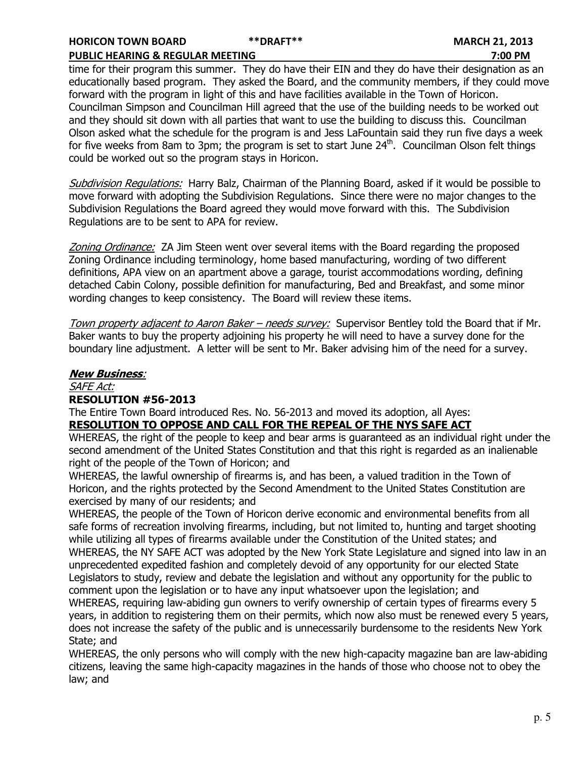time for their program this summer. They do have their EIN and they do have their designation as an educationally based program. They asked the Board, and the community members, if they could move forward with the program in light of this and have facilities available in the Town of Horicon. Councilman Simpson and Councilman Hill agreed that the use of the building needs to be worked out and they should sit down with all parties that want to use the building to discuss this. Councilman Olson asked what the schedule for the program is and Jess LaFountain said they run five days a week for five weeks from 8am to 3pm; the program is set to start June  $24<sup>th</sup>$ . Councilman Olson felt things could be worked out so the program stays in Horicon.

Subdivision Regulations: Harry Balz, Chairman of the Planning Board, asked if it would be possible to move forward with adopting the Subdivision Regulations. Since there were no major changes to the Subdivision Regulations the Board agreed they would move forward with this. The Subdivision Regulations are to be sent to APA for review.

Zoning Ordinance: ZA Jim Steen went over several items with the Board regarding the proposed Zoning Ordinance including terminology, home based manufacturing, wording of two different definitions, APA view on an apartment above a garage, tourist accommodations wording, defining detached Cabin Colony, possible definition for manufacturing, Bed and Breakfast, and some minor wording changes to keep consistency. The Board will review these items.

Town property adjacent to Aaron Baker – needs survey: Supervisor Bentley told the Board that if Mr. Baker wants to buy the property adjoining his property he will need to have a survey done for the boundary line adjustment. A letter will be sent to Mr. Baker advising him of the need for a survey.

# New Business:

# SAFE Act: RESOLUTION #56-2013

The Entire Town Board introduced Res. No. 56-2013 and moved its adoption, all Ayes: RESOLUTION TO OPPOSE AND CALL FOR THE REPEAL OF THE NYS SAFE ACT

WHEREAS, the right of the people to keep and bear arms is guaranteed as an individual right under the second amendment of the United States Constitution and that this right is regarded as an inalienable right of the people of the Town of Horicon; and

WHEREAS, the lawful ownership of firearms is, and has been, a valued tradition in the Town of Horicon, and the rights protected by the Second Amendment to the United States Constitution are exercised by many of our residents; and

WHEREAS, the people of the Town of Horicon derive economic and environmental benefits from all safe forms of recreation involving firearms, including, but not limited to, hunting and target shooting while utilizing all types of firearms available under the Constitution of the United states; and WHEREAS, the NY SAFE ACT was adopted by the New York State Legislature and signed into law in an unprecedented expedited fashion and completely devoid of any opportunity for our elected State Legislators to study, review and debate the legislation and without any opportunity for the public to comment upon the legislation or to have any input whatsoever upon the legislation; and WHEREAS, requiring law-abiding gun owners to verify ownership of certain types of firearms every 5 years, in addition to registering them on their permits, which now also must be renewed every 5 years,

does not increase the safety of the public and is unnecessarily burdensome to the residents New York State; and

WHEREAS, the only persons who will comply with the new high-capacity magazine ban are law-abiding citizens, leaving the same high-capacity magazines in the hands of those who choose not to obey the law; and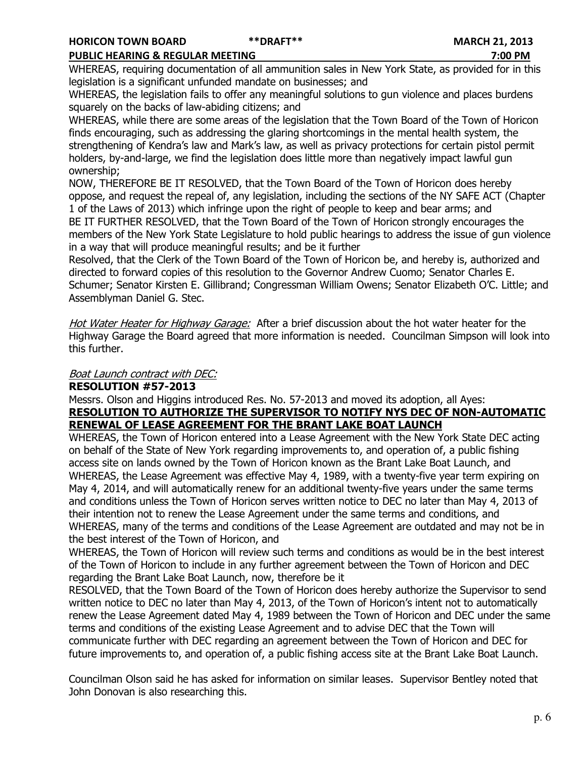#### PUBLIC HEARING & REGULAR MEETING 7:00 PM

WHEREAS, requiring documentation of all ammunition sales in New York State, as provided for in this legislation is a significant unfunded mandate on businesses; and

WHEREAS, the legislation fails to offer any meaningful solutions to gun violence and places burdens squarely on the backs of law-abiding citizens; and

WHEREAS, while there are some areas of the legislation that the Town Board of the Town of Horicon finds encouraging, such as addressing the glaring shortcomings in the mental health system, the strengthening of Kendra's law and Mark's law, as well as privacy protections for certain pistol permit holders, by-and-large, we find the legislation does little more than negatively impact lawful gun ownership;

NOW, THEREFORE BE IT RESOLVED, that the Town Board of the Town of Horicon does hereby oppose, and request the repeal of, any legislation, including the sections of the NY SAFE ACT (Chapter 1 of the Laws of 2013) which infringe upon the right of people to keep and bear arms; and BE IT FURTHER RESOLVED, that the Town Board of the Town of Horicon strongly encourages the members of the New York State Legislature to hold public hearings to address the issue of gun violence in a way that will produce meaningful results; and be it further

Resolved, that the Clerk of the Town Board of the Town of Horicon be, and hereby is, authorized and directed to forward copies of this resolution to the Governor Andrew Cuomo; Senator Charles E. Schumer; Senator Kirsten E. Gillibrand; Congressman William Owens; Senator Elizabeth O'C. Little; and Assemblyman Daniel G. Stec.

Hot Water Heater for Highway Garage: After a brief discussion about the hot water heater for the Highway Garage the Board agreed that more information is needed. Councilman Simpson will look into this further.

# Boat Launch contract with DEC:

# RESOLUTION #57-2013

Messrs. Olson and Higgins introduced Res. No. 57-2013 and moved its adoption, all Ayes: RESOLUTION TO AUTHORIZE THE SUPERVISOR TO NOTIFY NYS DEC OF NON-AUTOMATIC RENEWAL OF LEASE AGREEMENT FOR THE BRANT LAKE BOAT LAUNCH

WHEREAS, the Town of Horicon entered into a Lease Agreement with the New York State DEC acting on behalf of the State of New York regarding improvements to, and operation of, a public fishing access site on lands owned by the Town of Horicon known as the Brant Lake Boat Launch, and WHEREAS, the Lease Agreement was effective May 4, 1989, with a twenty-five year term expiring on May 4, 2014, and will automatically renew for an additional twenty-five years under the same terms and conditions unless the Town of Horicon serves written notice to DEC no later than May 4, 2013 of their intention not to renew the Lease Agreement under the same terms and conditions, and WHEREAS, many of the terms and conditions of the Lease Agreement are outdated and may not be in the best interest of the Town of Horicon, and

WHEREAS, the Town of Horicon will review such terms and conditions as would be in the best interest of the Town of Horicon to include in any further agreement between the Town of Horicon and DEC regarding the Brant Lake Boat Launch, now, therefore be it

RESOLVED, that the Town Board of the Town of Horicon does hereby authorize the Supervisor to send written notice to DEC no later than May 4, 2013, of the Town of Horicon's intent not to automatically renew the Lease Agreement dated May 4, 1989 between the Town of Horicon and DEC under the same terms and conditions of the existing Lease Agreement and to advise DEC that the Town will communicate further with DEC regarding an agreement between the Town of Horicon and DEC for future improvements to, and operation of, a public fishing access site at the Brant Lake Boat Launch.

Councilman Olson said he has asked for information on similar leases. Supervisor Bentley noted that John Donovan is also researching this.